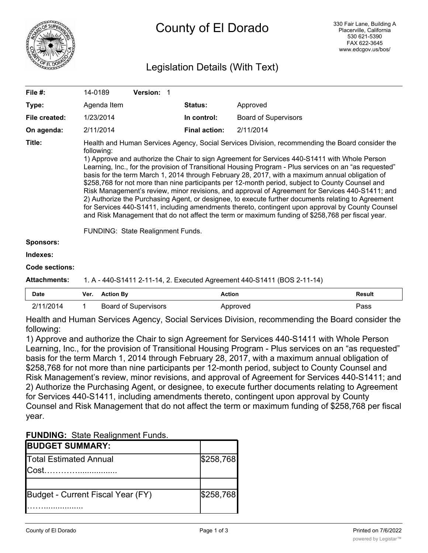

# Legislation Details (With Text)

| File #:               | 14-0189                                                                                                                                                                                                                                                                                                                                                                                                                                                                                                                                                                                                                                                                                                                                                                                                                                                                                                                                                                                | Version: 1 |                      |                                                                         |  |  |
|-----------------------|----------------------------------------------------------------------------------------------------------------------------------------------------------------------------------------------------------------------------------------------------------------------------------------------------------------------------------------------------------------------------------------------------------------------------------------------------------------------------------------------------------------------------------------------------------------------------------------------------------------------------------------------------------------------------------------------------------------------------------------------------------------------------------------------------------------------------------------------------------------------------------------------------------------------------------------------------------------------------------------|------------|----------------------|-------------------------------------------------------------------------|--|--|
| Type:                 | Agenda Item                                                                                                                                                                                                                                                                                                                                                                                                                                                                                                                                                                                                                                                                                                                                                                                                                                                                                                                                                                            |            | Status:              | Approved                                                                |  |  |
| File created:         | 1/23/2014                                                                                                                                                                                                                                                                                                                                                                                                                                                                                                                                                                                                                                                                                                                                                                                                                                                                                                                                                                              |            | In control:          | <b>Board of Supervisors</b>                                             |  |  |
| On agenda:            | 2/11/2014                                                                                                                                                                                                                                                                                                                                                                                                                                                                                                                                                                                                                                                                                                                                                                                                                                                                                                                                                                              |            | <b>Final action:</b> | 2/11/2014                                                               |  |  |
| Title:                | Health and Human Services Agency, Social Services Division, recommending the Board consider the<br>following:<br>1) Approve and authorize the Chair to sign Agreement for Services 440-S1411 with Whole Person<br>Learning, Inc., for the provision of Transitional Housing Program - Plus services on an "as requested"<br>basis for the term March 1, 2014 through February 28, 2017, with a maximum annual obligation of<br>\$258,768 for not more than nine participants per 12-month period, subject to County Counsel and<br>Risk Management's review, minor revisions, and approval of Agreement for Services 440-S1411; and<br>2) Authorize the Purchasing Agent, or designee, to execute further documents relating to Agreement<br>for Services 440-S1411, including amendments thereto, contingent upon approval by County Counsel<br>and Risk Management that do not affect the term or maximum funding of \$258,768 per fiscal year.<br>FUNDING: State Realignment Funds. |            |                      |                                                                         |  |  |
| <b>Sponsors:</b>      |                                                                                                                                                                                                                                                                                                                                                                                                                                                                                                                                                                                                                                                                                                                                                                                                                                                                                                                                                                                        |            |                      |                                                                         |  |  |
| Indexes:              |                                                                                                                                                                                                                                                                                                                                                                                                                                                                                                                                                                                                                                                                                                                                                                                                                                                                                                                                                                                        |            |                      |                                                                         |  |  |
| <b>Code sections:</b> |                                                                                                                                                                                                                                                                                                                                                                                                                                                                                                                                                                                                                                                                                                                                                                                                                                                                                                                                                                                        |            |                      |                                                                         |  |  |
| Attachments:          |                                                                                                                                                                                                                                                                                                                                                                                                                                                                                                                                                                                                                                                                                                                                                                                                                                                                                                                                                                                        |            |                      | 1. A - 440-S1411 2-11-14, 2. Executed Agreement 440-S1411 (BOS 2-11-14) |  |  |
|                       |                                                                                                                                                                                                                                                                                                                                                                                                                                                                                                                                                                                                                                                                                                                                                                                                                                                                                                                                                                                        |            |                      |                                                                         |  |  |

| <b>Date</b>    | Ver. | <b>Action By</b>     | Action   | Result |
|----------------|------|----------------------|----------|--------|
| 11/2014<br>0/4 |      | Board of Supervisors | Approved | Pass   |

Health and Human Services Agency, Social Services Division, recommending the Board consider the following:

1) Approve and authorize the Chair to sign Agreement for Services 440-S1411 with Whole Person Learning, Inc., for the provision of Transitional Housing Program - Plus services on an "as requested" basis for the term March 1, 2014 through February 28, 2017, with a maximum annual obligation of \$258,768 for not more than nine participants per 12-month period, subject to County Counsel and Risk Management's review, minor revisions, and approval of Agreement for Services 440-S1411; and 2) Authorize the Purchasing Agent, or designee, to execute further documents relating to Agreement for Services 440-S1411, including amendments thereto, contingent upon approval by County Counsel and Risk Management that do not affect the term or maximum funding of \$258,768 per fiscal year.

| <b>FUNDING: State Realignment Funds.</b> |  |
|------------------------------------------|--|
|------------------------------------------|--|

| <b>BUDGET SUMMARY:</b>            |           |
|-----------------------------------|-----------|
| <b>Total Estimated Annual</b>     | \$258,768 |
|                                   |           |
|                                   |           |
| Budget - Current Fiscal Year (FY) | \$258,768 |
|                                   |           |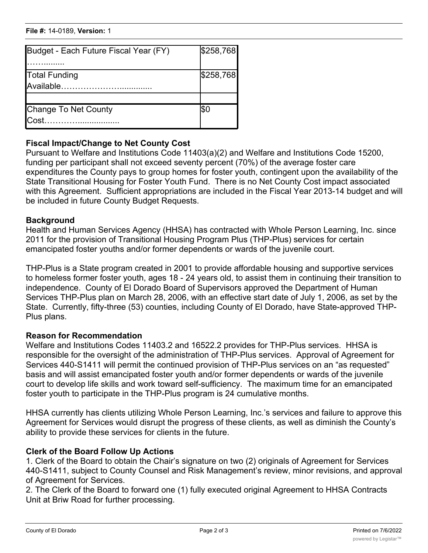#### **File #:** 14-0189, Version: 1 …….................

| Budget - Each Future Fiscal Year (FY)                  | \$258,768 |
|--------------------------------------------------------|-----------|
| <b>Total Funding</b><br>$\mathsf{A}\mathsf{v}$ ailable | \$258,768 |
|                                                        |           |
| Change To Net County<br>$IC$ ost                       | I\$C      |

#### **Fiscal Impact/Change to Net County Cost**

Pursuant to Welfare and Institutions Code 11403(a)(2) and Welfare and Institutions Code 15200, funding per participant shall not exceed seventy percent (70%) of the average foster care expenditures the County pays to group homes for foster youth, contingent upon the availability of the State Transitional Housing for Foster Youth Fund. There is no Net County Cost impact associated with this Agreement. Sufficient appropriations are included in the Fiscal Year 2013-14 budget and will be included in future County Budget Requests.

\$258,768

#### **Background**

Health and Human Services Agency (HHSA) has contracted with Whole Person Learning, Inc. since 2011 for the provision of Transitional Housing Program Plus (THP-Plus) services for certain emancipated foster youths and/or former dependents or wards of the juvenile court.

THP-Plus is a State program created in 2001 to provide affordable housing and supportive services to homeless former foster youth, ages 18 - 24 years old, to assist them in continuing their transition to independence. County of El Dorado Board of Supervisors approved the Department of Human Services THP-Plus plan on March 28, 2006, with an effective start date of July 1, 2006, as set by the State. Currently, fifty-three (53) counties, including County of El Dorado, have State-approved THP-Plus plans.

#### **Reason for Recommendation**

Welfare and Institutions Codes 11403.2 and 16522.2 provides for THP-Plus services. HHSA is responsible for the oversight of the administration of THP-Plus services. Approval of Agreement for Services 440-S1411 will permit the continued provision of THP-Plus services on an "as requested" basis and will assist emancipated foster youth and/or former dependents or wards of the juvenile court to develop life skills and work toward self-sufficiency. The maximum time for an emancipated foster youth to participate in the THP-Plus program is 24 cumulative months.

HHSA currently has clients utilizing Whole Person Learning, Inc.'s services and failure to approve this Agreement for Services would disrupt the progress of these clients, as well as diminish the County's ability to provide these services for clients in the future.

### **Clerk of the Board Follow Up Actions**

1. Clerk of the Board to obtain the Chair's signature on two (2) originals of Agreement for Services 440-S1411, subject to County Counsel and Risk Management's review, minor revisions, and approval of Agreement for Services.

2. The Clerk of the Board to forward one (1) fully executed original Agreement to HHSA Contracts Unit at Briw Road for further processing.